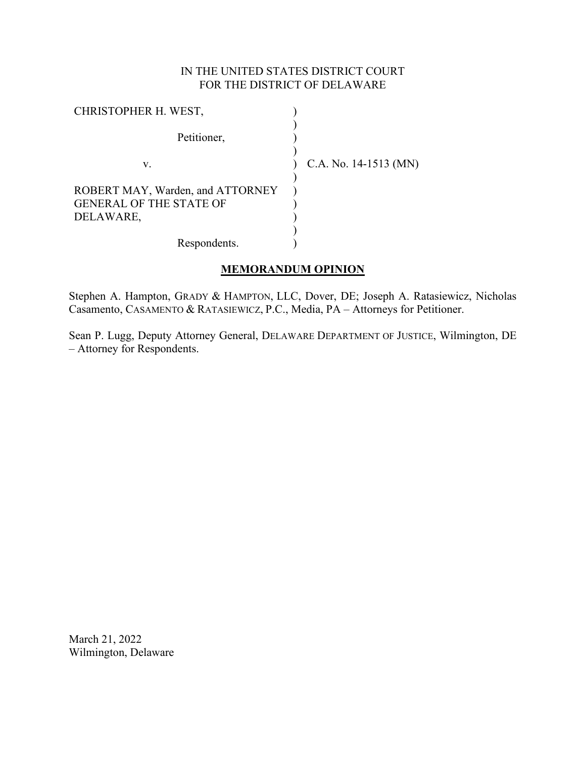# IN THE UNITED STATES DISTRICT COURT FOR THE DISTRICT OF DELAWARE

| CHRISTOPHER H. WEST,                                                            |                       |
|---------------------------------------------------------------------------------|-----------------------|
| Petitioner,                                                                     |                       |
| v.                                                                              | C.A. No. 14-1513 (MN) |
| ROBERT MAY, Warden, and ATTORNEY<br><b>GENERAL OF THE STATE OF</b><br>DELAWARE, |                       |
| Respondents.                                                                    |                       |

# **MEMORANDUM OPINION**

Stephen A. Hampton, GRADY & HAMPTON, LLC, Dover, DE; Joseph A. Ratasiewicz, Nicholas Casamento, CASAMENTO & RATASIEWICZ, P.C., Media, PA – Attorneys for Petitioner.

Sean P. Lugg, Deputy Attorney General, DELAWARE DEPARTMENT OF JUSTICE, Wilmington, DE – Attorney for Respondents.

March 21, 2022 Wilmington, Delaware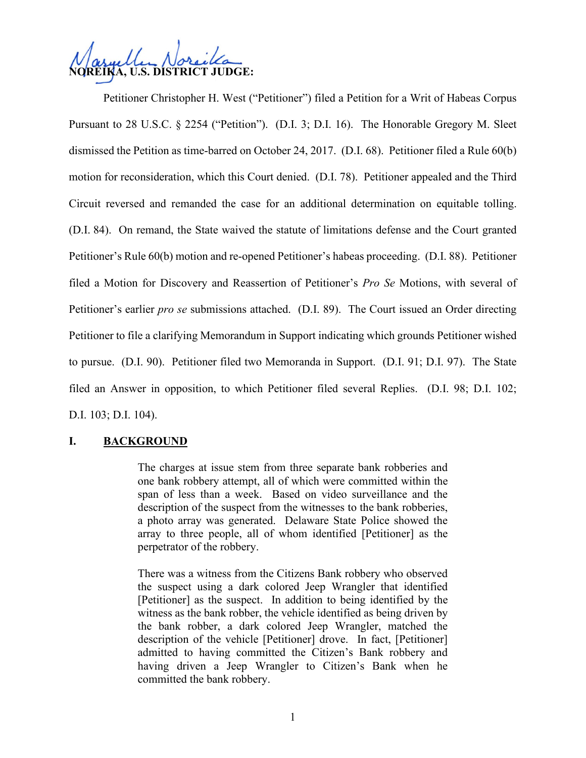

Petitioner Christopher H. West ("Petitioner") filed a Petition for a Writ of Habeas Corpus Pursuant to 28 U.S.C. § 2254 ("Petition"). (D.I. 3; D.I. 16). The Honorable Gregory M. Sleet dismissed the Petition as time-barred on October 24, 2017. (D.I. 68). Petitioner filed a Rule 60(b) motion for reconsideration, which this Court denied. (D.I. 78). Petitioner appealed and the Third Circuit reversed and remanded the case for an additional determination on equitable tolling. (D.I. 84). On remand, the State waived the statute of limitations defense and the Court granted Petitioner's Rule 60(b) motion and re-opened Petitioner's habeas proceeding. (D.I. 88). Petitioner filed a Motion for Discovery and Reassertion of Petitioner's *Pro Se* Motions, with several of Petitioner's earlier *pro se* submissions attached. (D.I. 89). The Court issued an Order directing Petitioner to file a clarifying Memorandum in Support indicating which grounds Petitioner wished to pursue. (D.I. 90). Petitioner filed two Memoranda in Support. (D.I. 91; D.I. 97). The State filed an Answer in opposition, to which Petitioner filed several Replies. (D.I. 98; D.I. 102; D.I. 103; D.I. 104).

# **I. BACKGROUND**

The charges at issue stem from three separate bank robberies and one bank robbery attempt, all of which were committed within the span of less than a week. Based on video surveillance and the description of the suspect from the witnesses to the bank robberies, a photo array was generated. Delaware State Police showed the array to three people, all of whom identified [Petitioner] as the perpetrator of the robbery.

There was a witness from the Citizens Bank robbery who observed the suspect using a dark colored Jeep Wrangler that identified [Petitioner] as the suspect. In addition to being identified by the witness as the bank robber, the vehicle identified as being driven by the bank robber, a dark colored Jeep Wrangler, matched the description of the vehicle [Petitioner] drove. In fact, [Petitioner] admitted to having committed the Citizen's Bank robbery and having driven a Jeep Wrangler to Citizen's Bank when he committed the bank robbery.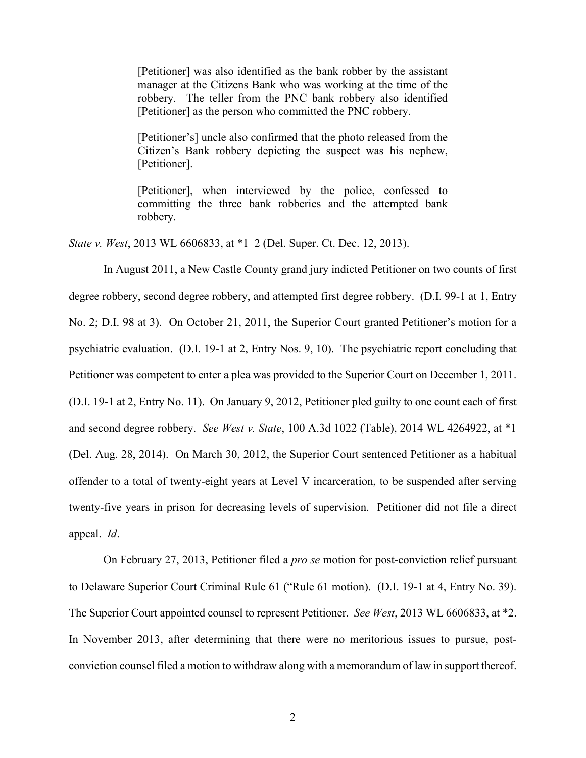[Petitioner] was also identified as the bank robber by the assistant manager at the Citizens Bank who was working at the time of the robbery. The teller from the PNC bank robbery also identified [Petitioner] as the person who committed the PNC robbery.

[Petitioner's] uncle also confirmed that the photo released from the Citizen's Bank robbery depicting the suspect was his nephew, [Petitioner].

[Petitioner], when interviewed by the police, confessed to committing the three bank robberies and the attempted bank robbery.

*State v. West*, 2013 WL 6606833, at \*1–2 (Del. Super. Ct. Dec. 12, 2013).

In August 2011, a New Castle County grand jury indicted Petitioner on two counts of first degree robbery, second degree robbery, and attempted first degree robbery. (D.I. 99-1 at 1, Entry No. 2; D.I. 98 at 3). On October 21, 2011, the Superior Court granted Petitioner's motion for a psychiatric evaluation. (D.I. 19-1 at 2, Entry Nos. 9, 10). The psychiatric report concluding that Petitioner was competent to enter a plea was provided to the Superior Court on December 1, 2011. (D.I. 19-1 at 2, Entry No. 11). On January 9, 2012, Petitioner pled guilty to one count each of first and second degree robbery. *See West v. State*, 100 A.3d 1022 (Table), 2014 WL 4264922, at \*1 (Del. Aug. 28, 2014). On March 30, 2012, the Superior Court sentenced Petitioner as a habitual offender to a total of twenty-eight years at Level V incarceration, to be suspended after serving twenty-five years in prison for decreasing levels of supervision. Petitioner did not file a direct appeal. *Id*.

On February 27, 2013, Petitioner filed a *pro se* motion for post-conviction relief pursuant to Delaware Superior Court Criminal Rule 61 ("Rule 61 motion). (D.I. 19-1 at 4, Entry No. 39). The Superior Court appointed counsel to represent Petitioner. *See West*, 2013 WL 6606833, at \*2. In November 2013, after determining that there were no meritorious issues to pursue, postconviction counsel filed a motion to withdraw along with a memorandum of law in support thereof.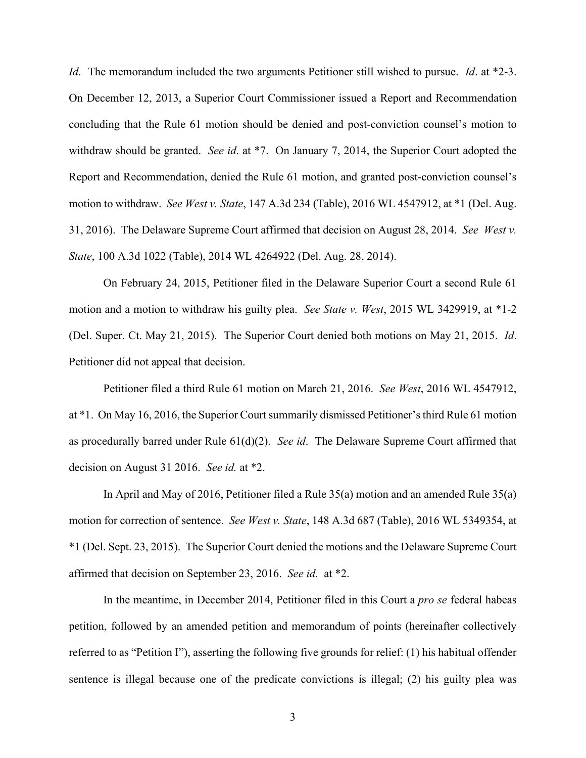*Id*. The memorandum included the two arguments Petitioner still wished to pursue. *Id*. at \*2-3. On December 12, 2013, a Superior Court Commissioner issued a Report and Recommendation concluding that the Rule 61 motion should be denied and post-conviction counsel's motion to withdraw should be granted. *See id*. at \*7. On January 7, 2014, the Superior Court adopted the Report and Recommendation, denied the Rule 61 motion, and granted post-conviction counsel's motion to withdraw. *See West v. State*, 147 A.3d 234 (Table), 2016 WL 4547912, at \*1 (Del. Aug. 31, 2016). The Delaware Supreme Court affirmed that decision on August 28, 2014. *See West v. State*, 100 A.3d 1022 (Table), 2014 WL 4264922 (Del. Aug. 28, 2014).

On February 24, 2015, Petitioner filed in the Delaware Superior Court a second Rule 61 motion and a motion to withdraw his guilty plea. *See State v. West*, 2015 WL 3429919, at \*1-2 (Del. Super. Ct. May 21, 2015). The Superior Court denied both motions on May 21, 2015. *Id*. Petitioner did not appeal that decision.

Petitioner filed a third Rule 61 motion on March 21, 2016. *See West*, 2016 WL 4547912, at \*1. On May 16, 2016, the Superior Court summarily dismissed Petitioner's third Rule 61 motion as procedurally barred under Rule 61(d)(2). *See id*. The Delaware Supreme Court affirmed that decision on August 31 2016. *See id.* at \*2.

In April and May of 2016, Petitioner filed a Rule 35(a) motion and an amended Rule 35(a) motion for correction of sentence. *See West v. State*, 148 A.3d 687 (Table), 2016 WL 5349354, at \*1 (Del. Sept. 23, 2015). The Superior Court denied the motions and the Delaware Supreme Court affirmed that decision on September 23, 2016. *See id.* at \*2.

In the meantime, in December 2014, Petitioner filed in this Court a *pro se* federal habeas petition, followed by an amended petition and memorandum of points (hereinafter collectively referred to as "Petition I"), asserting the following five grounds for relief: (1) his habitual offender sentence is illegal because one of the predicate convictions is illegal; (2) his guilty plea was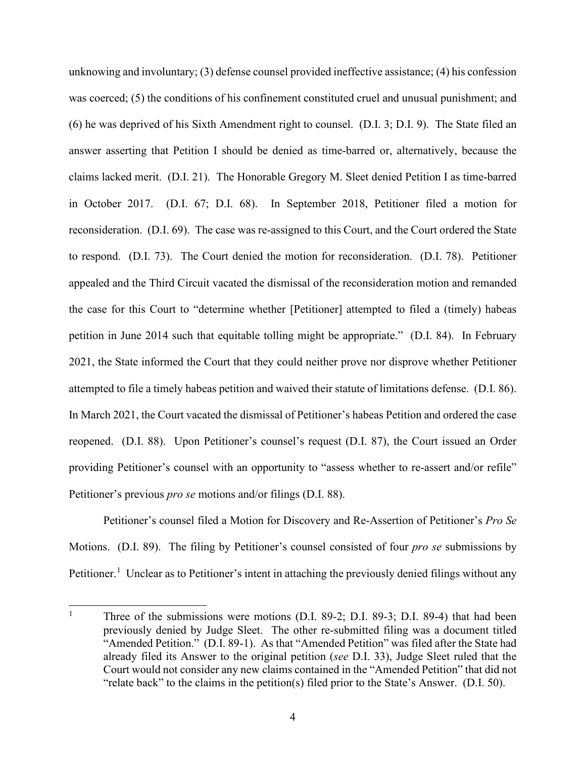unknowing and involuntary; (3) defense counsel provided ineffective assistance; (4) his confession was coerced; (5) the conditions of his confinement constituted cruel and unusual punishment; and (6) he was deprived of his Sixth Amendment right to counsel. (D.I. 3; D.I. 9). The State filed an answer asserting that Petition I should be denied as time-barred or, alternatively, because the claims lacked merit. (D.I. 21). The Honorable Gregory M. Sleet denied Petition I as time-barred in October 2017. (D.I. 67; D.I. 68). In September 2018, Petitioner filed a motion for reconsideration. (D.I. 69). The case was re-assigned to this Court, and the Court ordered the State to respond. (D.I. 73). The Court denied the motion for reconsideration. (D.I. 78). Petitioner appealed and the Third Circuit vacated the dismissal of the reconsideration motion and remanded the case for this Court to "determine whether [Petitioner] attempted to filed a (timely) habeas petition in June 2014 such that equitable tolling might be appropriate." (D.I. 84). In February 2021, the State informed the Court that they could neither prove nor disprove whether Petitioner attempted to file a timely habeas petition and waived their statute of limitations defense. (D.I. 86). In March 2021, the Court vacated the dismissal of Petitioner's habeas Petition and ordered the case reopened. (D.I. 88). Upon Petitioner's counsel's request (D.I. 87), the Court issued an Order providing Petitioner's counsel with an opportunity to "assess whether to re-assert and/or refile" Petitioner's previous *pro se* motions and/or filings (D.I. 88).

Petitioner's counsel filed a Motion for Discovery and Re-Assertion of Petitioner's *Pro Se* Motions. (D.I. 89). The filing by Petitioner's counsel consisted of four *pro se* submissions by Petitioner.<sup>[1](#page-4-0)</sup> Unclear as to Petitioner's intent in attaching the previously denied filings without any

<span id="page-4-0"></span><sup>&</sup>lt;sup>1</sup> Three of the submissions were motions (D.I. 89-2; D.I. 89-3; D.I. 89-4) that had been previously denied by Judge Sleet. The other re-submitted filing was a document titled "Amended Petition." (D.I. 89-1). As that "Amended Petition" was filed after the State had already filed its Answer to the original petition (*see* D.I. 33), Judge Sleet ruled that the Court would not consider any new claims contained in the "Amended Petition" that did not "relate back" to the claims in the petition(s) filed prior to the State's Answer. (D.I. 50).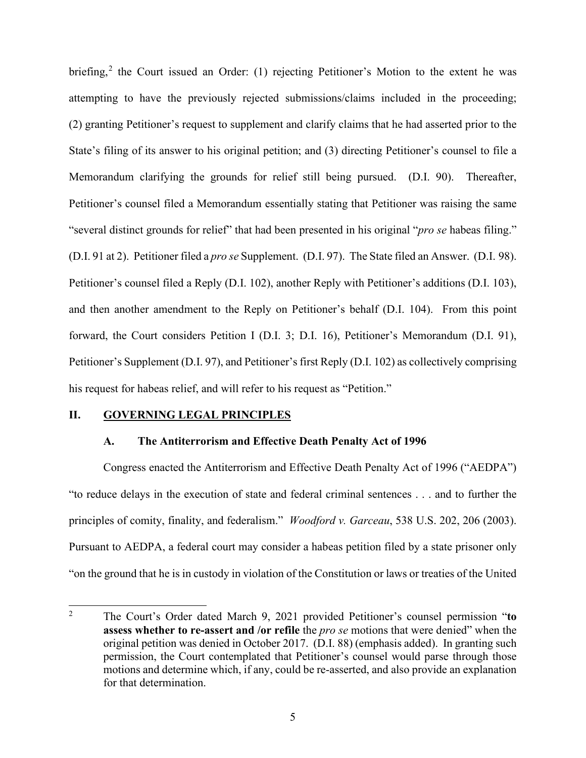briefing,<sup>[2](#page-5-0)</sup> the Court issued an Order: (1) rejecting Petitioner's Motion to the extent he was attempting to have the previously rejected submissions/claims included in the proceeding; (2) granting Petitioner's request to supplement and clarify claims that he had asserted prior to the State's filing of its answer to his original petition; and (3) directing Petitioner's counsel to file a Memorandum clarifying the grounds for relief still being pursued. (D.I. 90). Thereafter, Petitioner's counsel filed a Memorandum essentially stating that Petitioner was raising the same "several distinct grounds for relief" that had been presented in his original "*pro se* habeas filing." (D.I. 91 at 2). Petitioner filed a *pro se* Supplement. (D.I. 97). The State filed an Answer. (D.I. 98). Petitioner's counsel filed a Reply (D.I. 102), another Reply with Petitioner's additions (D.I. 103), and then another amendment to the Reply on Petitioner's behalf (D.I. 104). From this point forward, the Court considers Petition I (D.I. 3; D.I. 16), Petitioner's Memorandum (D.I. 91), Petitioner's Supplement (D.I. 97), and Petitioner's first Reply (D.I. 102) as collectively comprising his request for habeas relief, and will refer to his request as "Petition."

### **II. GOVERNING LEGAL PRINCIPLES**

#### **A. The Antiterrorism and Effective Death Penalty Act of 1996**

Congress enacted the Antiterrorism and Effective Death Penalty Act of 1996 ("AEDPA") "to reduce delays in the execution of state and federal criminal sentences . . . and to further the principles of comity, finality, and federalism." *Woodford v. Garceau*, 538 U.S. 202, 206 (2003). Pursuant to AEDPA, a federal court may consider a habeas petition filed by a state prisoner only "on the ground that he is in custody in violation of the Constitution or laws or treaties of the United

<span id="page-5-0"></span><sup>2</sup> The Court's Order dated March 9, 2021 provided Petitioner's counsel permission "**to assess whether to re-assert and /or refile** the *pro se* motions that were denied" when the original petition was denied in October 2017. (D.I. 88) (emphasis added). In granting such permission, the Court contemplated that Petitioner's counsel would parse through those motions and determine which, if any, could be re-asserted, and also provide an explanation for that determination.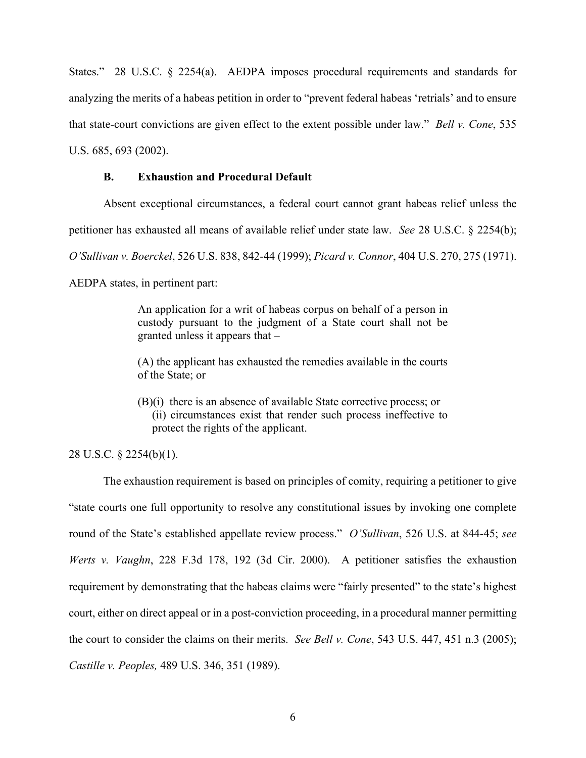States." 28 U.S.C. § 2254(a). AEDPA imposes procedural requirements and standards for analyzing the merits of a habeas petition in order to "prevent federal habeas 'retrials' and to ensure that state-court convictions are given effect to the extent possible under law." *Bell v. Cone*, 535 U.S. 685, 693 (2002).

#### **B. Exhaustion and Procedural Default**

Absent exceptional circumstances, a federal court cannot grant habeas relief unless the

petitioner has exhausted all means of available relief under state law. *See* 28 U.S.C. § 2254(b);

*O'Sullivan v. Boerckel*, 526 U.S. 838, 842-44 (1999); *Picard v. Connor*, 404 U.S. 270, 275 (1971).

AEDPA states, in pertinent part:

An application for a writ of habeas corpus on behalf of a person in custody pursuant to the judgment of a State court shall not be granted unless it appears that –

(A) the applicant has exhausted the remedies available in the courts of the State; or

(B)(i) there is an absence of available State corrective process; or (ii) circumstances exist that render such process ineffective to protect the rights of the applicant.

28 U.S.C. § 2254(b)(1).

The exhaustion requirement is based on principles of comity, requiring a petitioner to give "state courts one full opportunity to resolve any constitutional issues by invoking one complete round of the State's established appellate review process." *O'Sullivan*, 526 U.S. at 844-45; *see Werts v. Vaughn*, 228 F.3d 178, 192 (3d Cir. 2000). A petitioner satisfies the exhaustion requirement by demonstrating that the habeas claims were "fairly presented" to the state's highest court, either on direct appeal or in a post-conviction proceeding, in a procedural manner permitting the court to consider the claims on their merits. *See Bell v. Cone*, 543 U.S. 447, 451 n.3 (2005); *Castille v. Peoples,* 489 U.S. 346, 351 (1989).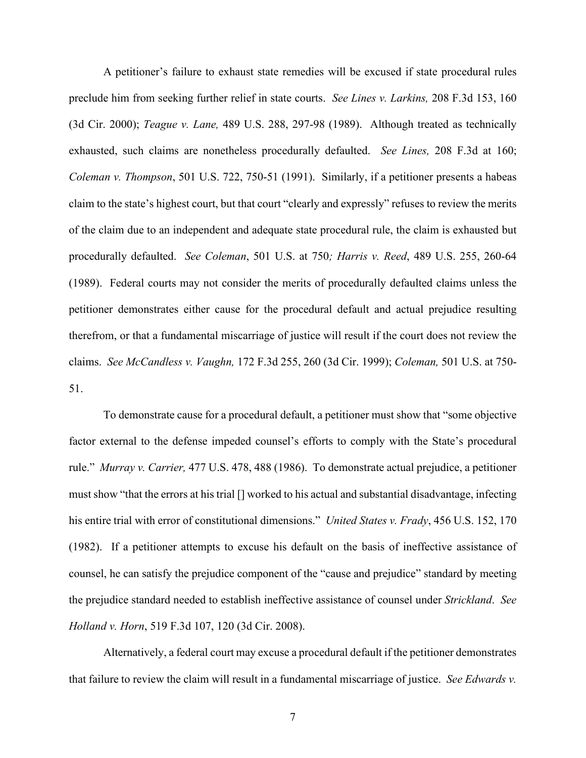A petitioner's failure to exhaust state remedies will be excused if state procedural rules preclude him from seeking further relief in state courts. *See Lines v. Larkins,* 208 F.3d 153, 160 (3d Cir. 2000); *Teague v. Lane,* 489 U.S. 288, 297-98 (1989). Although treated as technically exhausted, such claims are nonetheless procedurally defaulted. *See Lines,* 208 F.3d at 160; *Coleman v. Thompson*, 501 U.S. 722, 750-51 (1991). Similarly, if a petitioner presents a habeas claim to the state's highest court, but that court "clearly and expressly" refuses to review the merits of the claim due to an independent and adequate state procedural rule, the claim is exhausted but procedurally defaulted. *See Coleman*, 501 U.S. at 750*; Harris v. Reed*, 489 U.S. 255, 260-64 (1989). Federal courts may not consider the merits of procedurally defaulted claims unless the petitioner demonstrates either cause for the procedural default and actual prejudice resulting therefrom, or that a fundamental miscarriage of justice will result if the court does not review the claims. *See McCandless v. Vaughn,* 172 F.3d 255, 260 (3d Cir. 1999); *Coleman,* 501 U.S. at 750- 51.

To demonstrate cause for a procedural default, a petitioner must show that "some objective factor external to the defense impeded counsel's efforts to comply with the State's procedural rule." *Murray v. Carrier,* 477 U.S. 478, 488 (1986). To demonstrate actual prejudice, a petitioner must show "that the errors at his trial [] worked to his actual and substantial disadvantage, infecting his entire trial with error of constitutional dimensions." *United States v. Frady*, 456 U.S. 152, 170 (1982). If a petitioner attempts to excuse his default on the basis of ineffective assistance of counsel, he can satisfy the prejudice component of the "cause and prejudice" standard by meeting the prejudice standard needed to establish ineffective assistance of counsel under *Strickland*. *See Holland v. Horn*, 519 F.3d 107, 120 (3d Cir. 2008).

Alternatively, a federal court may excuse a procedural default if the petitioner demonstrates that failure to review the claim will result in a fundamental miscarriage of justice. *See Edwards v.*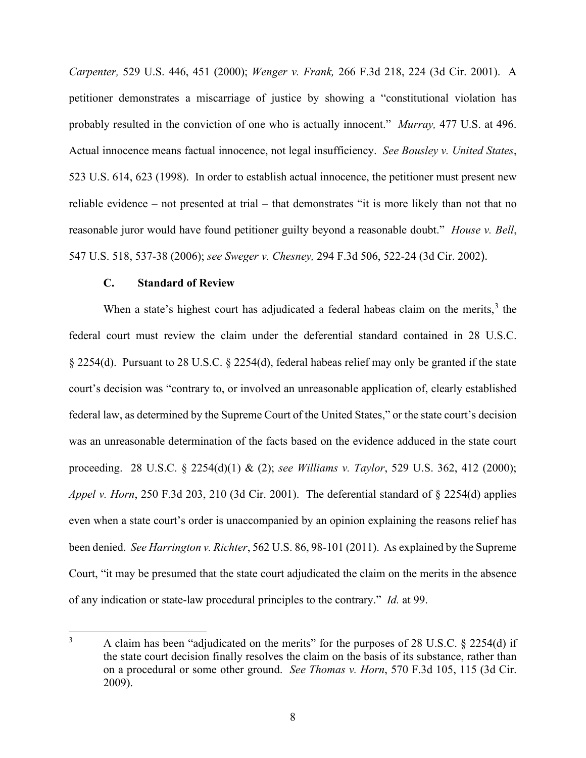*Carpenter,* 529 U.S. 446, 451 (2000); *Wenger v. Frank,* 266 F.3d 218, 224 (3d Cir. 2001). A petitioner demonstrates a miscarriage of justice by showing a "constitutional violation has probably resulted in the conviction of one who is actually innocent." *Murray,* 477 U.S. at 496. Actual innocence means factual innocence, not legal insufficiency. *See Bousley v. United States*, 523 U.S. 614, 623 (1998). In order to establish actual innocence, the petitioner must present new reliable evidence – not presented at trial – that demonstrates "it is more likely than not that no reasonable juror would have found petitioner guilty beyond a reasonable doubt." *House v. Bell*, 547 U.S. 518, 537-38 (2006); *see Sweger v. Chesney,* 294 F.3d 506, 522-24 (3d Cir. 2002).

#### **C. Standard of Review**

When a state's highest court has adjudicated a federal habeas claim on the merits, $3$  the federal court must review the claim under the deferential standard contained in 28 U.S.C. § 2254(d). Pursuant to 28 U.S.C. § 2254(d), federal habeas relief may only be granted if the state court's decision was "contrary to, or involved an unreasonable application of, clearly established federal law, as determined by the Supreme Court of the United States," or the state court's decision was an unreasonable determination of the facts based on the evidence adduced in the state court proceeding. 28 U.S.C. § 2254(d)(1) & (2); *see Williams v. Taylor*, 529 U.S. 362, 412 (2000); *Appel v. Horn*, 250 F.3d 203, 210 (3d Cir. 2001). The deferential standard of § 2254(d) applies even when a state court's order is unaccompanied by an opinion explaining the reasons relief has been denied. *See Harrington v. Richter*, 562 U.S. 86, 98-101 (2011). As explained by the Supreme Court, "it may be presumed that the state court adjudicated the claim on the merits in the absence of any indication or state-law procedural principles to the contrary." *Id.* at 99.

<span id="page-8-0"></span><sup>3</sup> A claim has been "adjudicated on the merits" for the purposes of 28 U.S.C. § 2254(d) if the state court decision finally resolves the claim on the basis of its substance, rather than on a procedural or some other ground. *See Thomas v. Horn*, 570 F.3d 105, 115 (3d Cir. 2009).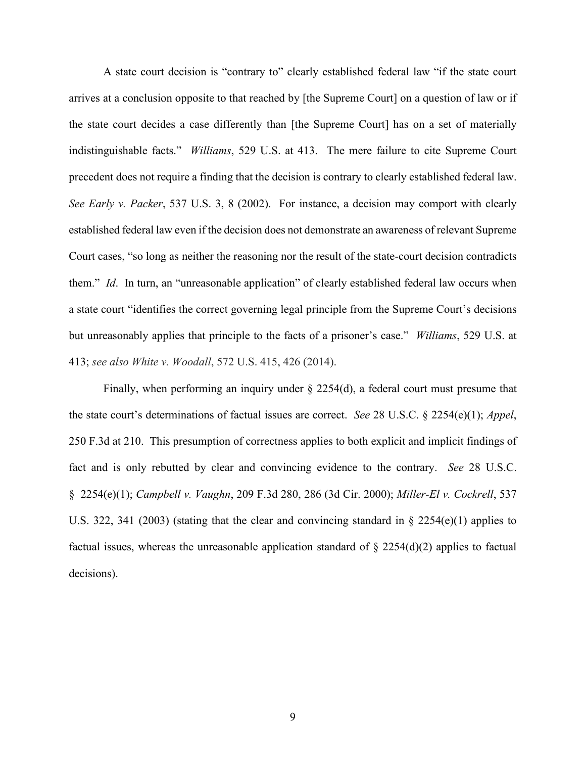A state court decision is "contrary to" clearly established federal law "if the state court arrives at a conclusion opposite to that reached by [the Supreme Court] on a question of law or if the state court decides a case differently than [the Supreme Court] has on a set of materially indistinguishable facts." *Williams*, 529 U.S. at 413. The mere failure to cite Supreme Court precedent does not require a finding that the decision is contrary to clearly established federal law. *See Early v. Packer*, 537 U.S. 3, 8 (2002). For instance, a decision may comport with clearly established federal law even if the decision does not demonstrate an awareness of relevant Supreme Court cases, "so long as neither the reasoning nor the result of the state-court decision contradicts them." *Id*. In turn, an "unreasonable application" of clearly established federal law occurs when a state court "identifies the correct governing legal principle from the Supreme Court's decisions but unreasonably applies that principle to the facts of a prisoner's case." *Williams*, 529 U.S. at 413; *see also White v. Woodall*, 572 U.S. 415, 426 (2014).

Finally, when performing an inquiry under § 2254(d), a federal court must presume that the state court's determinations of factual issues are correct. *See* 28 U.S.C. § 2254(e)(1); *Appel*, 250 F.3d at 210. This presumption of correctness applies to both explicit and implicit findings of fact and is only rebutted by clear and convincing evidence to the contrary. *See* 28 U.S.C. § 2254(e)(1); *Campbell v. Vaughn*, 209 F.3d 280, 286 (3d Cir. 2000); *Miller-El v. Cockrell*, 537 U.S. 322, 341 (2003) (stating that the clear and convincing standard in § 2254(e)(1) applies to factual issues, whereas the unreasonable application standard of  $\S 2254(d)(2)$  applies to factual decisions).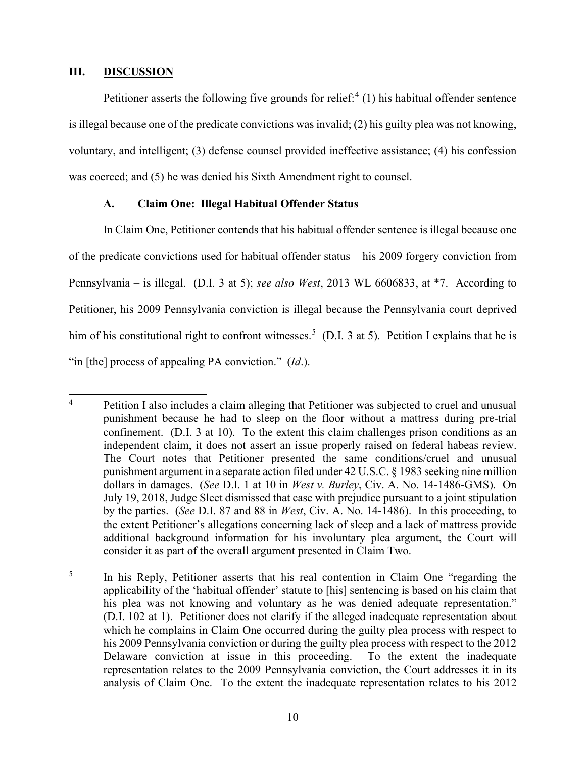#### **III. DISCUSSION**

Petitioner asserts the following five grounds for relief:<sup>[4](#page-10-0)</sup> (1) his habitual offender sentence is illegal because one of the predicate convictions was invalid; (2) his guilty plea was not knowing, voluntary, and intelligent; (3) defense counsel provided ineffective assistance; (4) his confession was coerced; and (5) he was denied his Sixth Amendment right to counsel.

#### **A. Claim One: Illegal Habitual Offender Status**

In Claim One, Petitioner contends that his habitual offender sentence is illegal because one of the predicate convictions used for habitual offender status – his 2009 forgery conviction from Pennsylvania – is illegal. (D.I. 3 at 5); *see also West*, 2013 WL 6606833, at \*7. According to Petitioner, his 2009 Pennsylvania conviction is illegal because the Pennsylvania court deprived him of his constitutional right to confront witnesses.<sup>[5](#page-10-1)</sup> (D.I. 3 at 5). Petition I explains that he is "in [the] process of appealing PA conviction." (*Id*.).

<span id="page-10-0"></span><sup>&</sup>lt;sup>4</sup> Petition I also includes a claim alleging that Petitioner was subjected to cruel and unusual punishment because he had to sleep on the floor without a mattress during pre-trial confinement. (D.I. 3 at 10). To the extent this claim challenges prison conditions as an independent claim, it does not assert an issue properly raised on federal habeas review. The Court notes that Petitioner presented the same conditions/cruel and unusual punishment argument in a separate action filed under 42 U.S.C. § 1983 seeking nine million dollars in damages. (*See* D.I. 1 at 10 in *West v. Burley*, Civ. A. No. 14-1486-GMS). On July 19, 2018, Judge Sleet dismissed that case with prejudice pursuant to a joint stipulation by the parties. (*See* D.I. 87 and 88 in *West*, Civ. A. No. 14-1486). In this proceeding, to the extent Petitioner's allegations concerning lack of sleep and a lack of mattress provide additional background information for his involuntary plea argument, the Court will consider it as part of the overall argument presented in Claim Two.

<span id="page-10-1"></span><sup>5</sup> In his Reply, Petitioner asserts that his real contention in Claim One "regarding the applicability of the 'habitual offender' statute to [his] sentencing is based on his claim that his plea was not knowing and voluntary as he was denied adequate representation." (D.I. 102 at 1). Petitioner does not clarify if the alleged inadequate representation about which he complains in Claim One occurred during the guilty plea process with respect to his 2009 Pennsylvania conviction or during the guilty plea process with respect to the 2012 Delaware conviction at issue in this proceeding. To the extent the inadequate representation relates to the 2009 Pennsylvania conviction, the Court addresses it in its analysis of Claim One. To the extent the inadequate representation relates to his 2012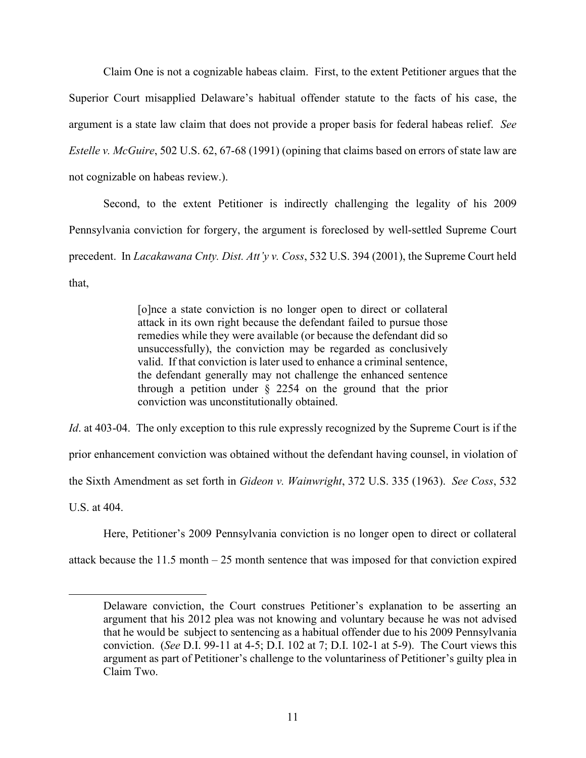Claim One is not a cognizable habeas claim. First, to the extent Petitioner argues that the Superior Court misapplied Delaware's habitual offender statute to the facts of his case, the argument is a state law claim that does not provide a proper basis for federal habeas relief. *See Estelle v. McGuire*, 502 U.S. 62, 67-68 (1991) (opining that claims based on errors of state law are not cognizable on habeas review.).

Second, to the extent Petitioner is indirectly challenging the legality of his 2009 Pennsylvania conviction for forgery, the argument is foreclosed by well-settled Supreme Court precedent. In *Lacakawana Cnty. Dist. Att'y v. Coss*, 532 U.S. 394 (2001), the Supreme Court held that,

> [o]nce a state conviction is no longer open to direct or collateral attack in its own right because the defendant failed to pursue those remedies while they were available (or because the defendant did so unsuccessfully), the conviction may be regarded as conclusively valid. If that conviction is later used to enhance a criminal sentence, the defendant generally may not challenge the enhanced sentence through a petition under § 2254 on the ground that the prior conviction was unconstitutionally obtained.

*Id.* at 403-04. The only exception to this rule expressly recognized by the Supreme Court is if the prior enhancement conviction was obtained without the defendant having counsel, in violation of the Sixth Amendment as set forth in *Gideon v. Wainwright*, 372 U.S. 335 (1963). *See Coss*, 532 U.S. at 404.

Here, Petitioner's 2009 Pennsylvania conviction is no longer open to direct or collateral

attack because the 11.5 month – 25 month sentence that was imposed for that conviction expired

Delaware conviction, the Court construes Petitioner's explanation to be asserting an argument that his 2012 plea was not knowing and voluntary because he was not advised that he would be subject to sentencing as a habitual offender due to his 2009 Pennsylvania conviction. (*See* D.I. 99-11 at 4-5; D.I. 102 at 7; D.I. 102-1 at 5-9). The Court views this argument as part of Petitioner's challenge to the voluntariness of Petitioner's guilty plea in Claim Two.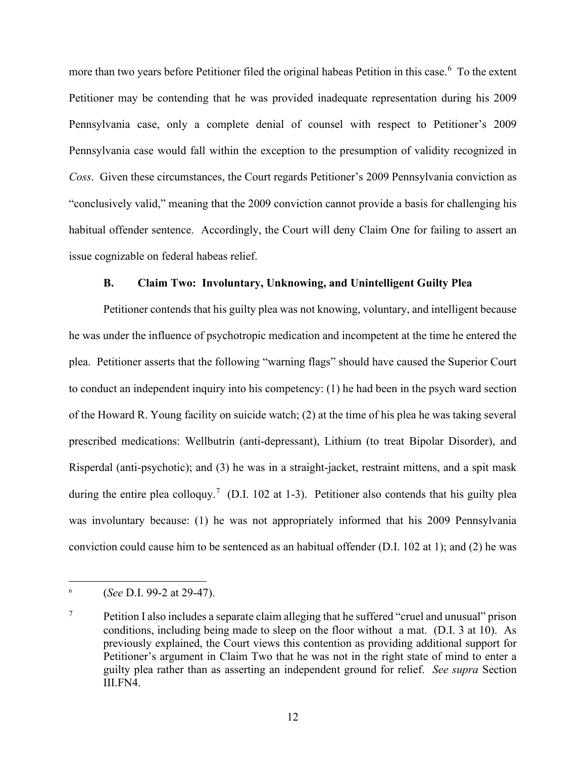more than two years before Petitioner filed the original habeas Petition in this case.<sup>[6](#page-12-0)</sup> To the extent Petitioner may be contending that he was provided inadequate representation during his 2009 Pennsylvania case, only a complete denial of counsel with respect to Petitioner's 2009 Pennsylvania case would fall within the exception to the presumption of validity recognized in *Coss*. Given these circumstances, the Court regards Petitioner's 2009 Pennsylvania conviction as "conclusively valid," meaning that the 2009 conviction cannot provide a basis for challenging his habitual offender sentence. Accordingly, the Court will deny Claim One for failing to assert an issue cognizable on federal habeas relief.

#### **B. Claim Two: Involuntary, Unknowing, and Unintelligent Guilty Plea**

Petitioner contends that his guilty plea was not knowing, voluntary, and intelligent because he was under the influence of psychotropic medication and incompetent at the time he entered the plea. Petitioner asserts that the following "warning flags" should have caused the Superior Court to conduct an independent inquiry into his competency: (1) he had been in the psych ward section of the Howard R. Young facility on suicide watch; (2) at the time of his plea he was taking several prescribed medications: Wellbutrin (anti-depressant), Lithium (to treat Bipolar Disorder), and Risperdal (anti-psychotic); and (3) he was in a straight-jacket, restraint mittens, and a spit mask during the entire plea colloquy.<sup>[7](#page-12-1)</sup> (D.I. 102 at 1-3). Petitioner also contends that his guilty plea was involuntary because: (1) he was not appropriately informed that his 2009 Pennsylvania conviction could cause him to be sentenced as an habitual offender (D.I. 102 at 1); and (2) he was

<span id="page-12-0"></span><sup>6</sup> (*See* D.I. 99-2 at 29-47).

<span id="page-12-1"></span> $7$  Petition I also includes a separate claim alleging that he suffered "cruel and unusual" prison conditions, including being made to sleep on the floor without a mat. (D.I. 3 at 10). As previously explained, the Court views this contention as providing additional support for Petitioner's argument in Claim Two that he was not in the right state of mind to enter a guilty plea rather than as asserting an independent ground for relief. *See supra* Section III.FN4.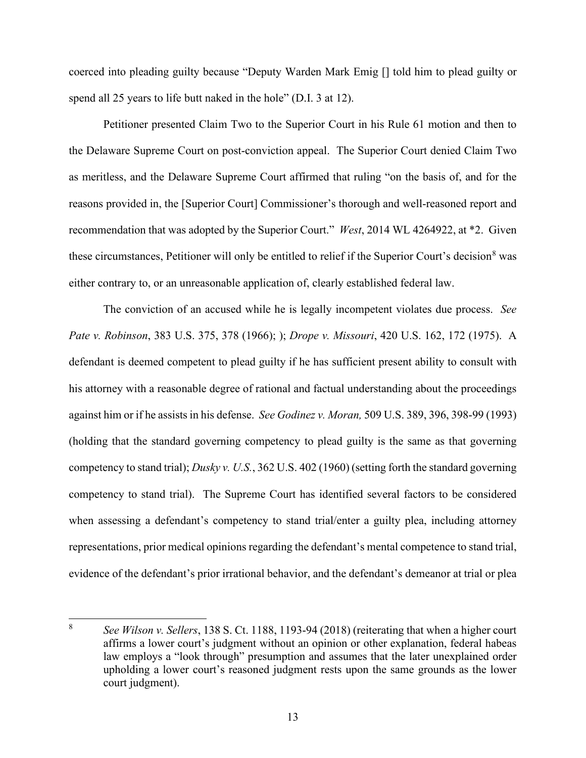coerced into pleading guilty because "Deputy Warden Mark Emig [] told him to plead guilty or spend all 25 years to life butt naked in the hole" (D.I. 3 at 12).

Petitioner presented Claim Two to the Superior Court in his Rule 61 motion and then to the Delaware Supreme Court on post-conviction appeal. The Superior Court denied Claim Two as meritless, and the Delaware Supreme Court affirmed that ruling "on the basis of, and for the reasons provided in, the [Superior Court] Commissioner's thorough and well-reasoned report and recommendation that was adopted by the Superior Court." *West*, 2014 WL 4264922, at \*2. Given these circumstances, Petitioner will only be entitled to relief if the Superior Court's decision<sup>[8](#page-13-0)</sup> was either contrary to, or an unreasonable application of, clearly established federal law.

The conviction of an accused while he is legally incompetent violates due process. *See Pate v. Robinson*, 383 U.S. 375, 378 (1966); ); *Drope v. Missouri*, 420 U.S. 162, 172 (1975). A defendant is deemed competent to plead guilty if he has sufficient present ability to consult with his attorney with a reasonable degree of rational and factual understanding about the proceedings against him or if he assists in his defense. *See Godinez v. Moran,* 509 U.S. 389, 396, 398-99 (1993) (holding that the standard governing competency to plead guilty is the same as that governing competency to stand trial); *Dusky v. U.S.*, 362 U.S. 402 (1960) (setting forth the standard governing competency to stand trial). The Supreme Court has identified several factors to be considered when assessing a defendant's competency to stand trial/enter a guilty plea, including attorney representations, prior medical opinions regarding the defendant's mental competence to stand trial, evidence of the defendant's prior irrational behavior, and the defendant's demeanor at trial or plea

<span id="page-13-0"></span><sup>8</sup> *See Wilson v. Sellers*, 138 S. Ct. 1188, 1193-94 (2018) (reiterating that when a higher court affirms a lower court's judgment without an opinion or other explanation, federal habeas law employs a "look through" presumption and assumes that the later unexplained order upholding a lower court's reasoned judgment rests upon the same grounds as the lower court judgment).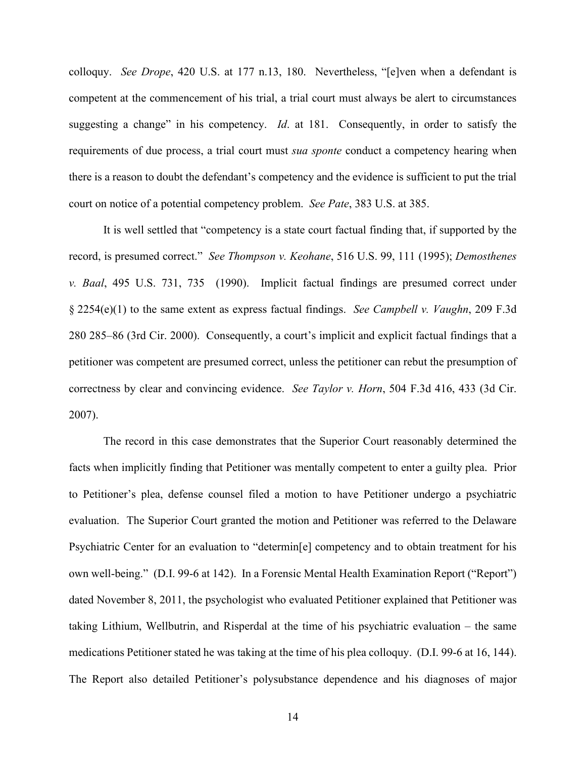colloquy. *See Drope*, 420 U.S. at 177 n.13, 180. Nevertheless, "[e]ven when a defendant is competent at the commencement of his trial, a trial court must always be alert to circumstances suggesting a change" in his competency. *Id*. at 181. Consequently, in order to satisfy the requirements of due process, a trial court must *sua sponte* conduct a competency hearing when there is a reason to doubt the defendant's competency and the evidence is sufficient to put the trial court on notice of a potential competency problem. *See Pate*, 383 U.S. at 385.

 It is well settled that "competency is a state court factual finding that, if supported by the record, is presumed correct." *See Thompson v. Keohane*, 516 U.S. 99, 111 (1995); *Demosthenes v. Baal*, 495 U.S. 731, 735 (1990). Implicit factual findings are presumed correct under § 2254(e)(1) to the same extent as express factual findings. *See Campbell v. Vaughn*, 209 F.3d 280 285–86 (3rd Cir. 2000). Consequently, a court's implicit and explicit factual findings that a petitioner was competent are presumed correct, unless the petitioner can rebut the presumption of correctness by clear and convincing evidence. *See Taylor v. Horn*, 504 F.3d 416, 433 (3d Cir. 2007).

The record in this case demonstrates that the Superior Court reasonably determined the facts when implicitly finding that Petitioner was mentally competent to enter a guilty plea. Prior to Petitioner's plea, defense counsel filed a motion to have Petitioner undergo a psychiatric evaluation. The Superior Court granted the motion and Petitioner was referred to the Delaware Psychiatric Center for an evaluation to "determin[e] competency and to obtain treatment for his own well-being." (D.I. 99-6 at 142). In a Forensic Mental Health Examination Report ("Report") dated November 8, 2011, the psychologist who evaluated Petitioner explained that Petitioner was taking Lithium, Wellbutrin, and Risperdal at the time of his psychiatric evaluation – the same medications Petitioner stated he was taking at the time of his plea colloquy. (D.I. 99-6 at 16, 144). The Report also detailed Petitioner's polysubstance dependence and his diagnoses of major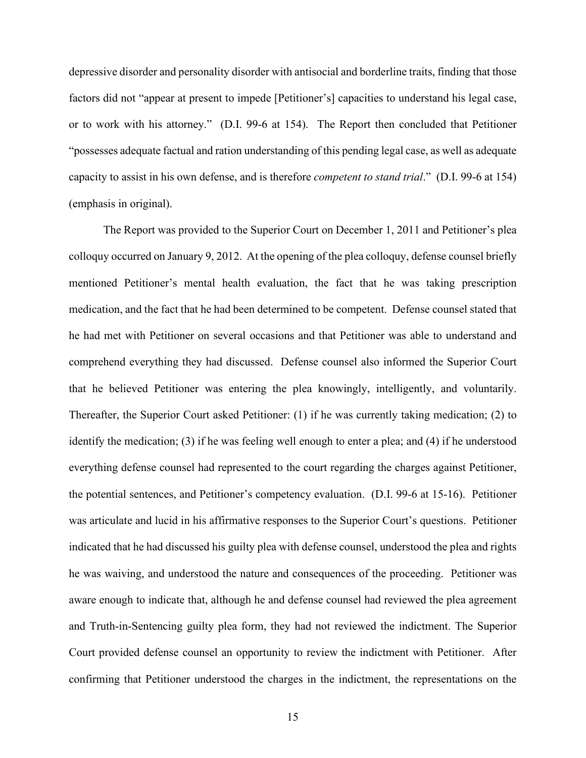depressive disorder and personality disorder with antisocial and borderline traits, finding that those factors did not "appear at present to impede [Petitioner's] capacities to understand his legal case, or to work with his attorney." (D.I. 99-6 at 154). The Report then concluded that Petitioner "possesses adequate factual and ration understanding of this pending legal case, as well as adequate capacity to assist in his own defense, and is therefore *competent to stand trial*." (D.I. 99-6 at 154) (emphasis in original).

The Report was provided to the Superior Court on December 1, 2011 and Petitioner's plea colloquy occurred on January 9, 2012. At the opening of the plea colloquy, defense counsel briefly mentioned Petitioner's mental health evaluation, the fact that he was taking prescription medication, and the fact that he had been determined to be competent. Defense counsel stated that he had met with Petitioner on several occasions and that Petitioner was able to understand and comprehend everything they had discussed. Defense counsel also informed the Superior Court that he believed Petitioner was entering the plea knowingly, intelligently, and voluntarily. Thereafter, the Superior Court asked Petitioner: (1) if he was currently taking medication; (2) to identify the medication; (3) if he was feeling well enough to enter a plea; and (4) if he understood everything defense counsel had represented to the court regarding the charges against Petitioner, the potential sentences, and Petitioner's competency evaluation. (D.I. 99-6 at 15-16). Petitioner was articulate and lucid in his affirmative responses to the Superior Court's questions. Petitioner indicated that he had discussed his guilty plea with defense counsel, understood the plea and rights he was waiving, and understood the nature and consequences of the proceeding. Petitioner was aware enough to indicate that, although he and defense counsel had reviewed the plea agreement and Truth-in-Sentencing guilty plea form, they had not reviewed the indictment. The Superior Court provided defense counsel an opportunity to review the indictment with Petitioner. After confirming that Petitioner understood the charges in the indictment, the representations on the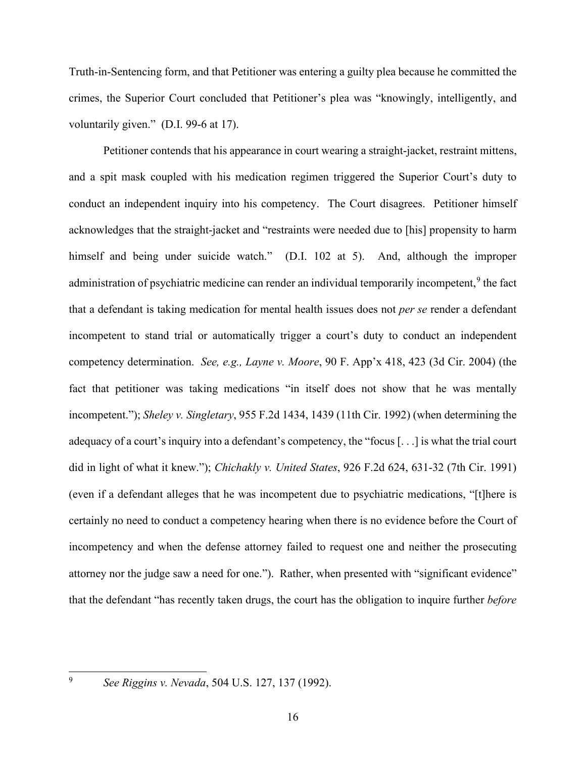Truth-in-Sentencing form, and that Petitioner was entering a guilty plea because he committed the crimes, the Superior Court concluded that Petitioner's plea was "knowingly, intelligently, and voluntarily given." (D.I. 99-6 at 17).

Petitioner contends that his appearance in court wearing a straight-jacket, restraint mittens, and a spit mask coupled with his medication regimen triggered the Superior Court's duty to conduct an independent inquiry into his competency. The Court disagrees. Petitioner himself acknowledges that the straight-jacket and "restraints were needed due to [his] propensity to harm himself and being under suicide watch." (D.I. 102 at 5). And, although the improper administration of psychiatric medicine can render an individual temporarily incompetent,<sup>[9](#page-16-0)</sup> the fact that a defendant is taking medication for mental health issues does not *per se* render a defendant incompetent to stand trial or automatically trigger a court's duty to conduct an independent competency determination. *See, e.g., Layne v. Moore*, 90 F. App'x 418, 423 (3d Cir. 2004) (the fact that petitioner was taking medications "in itself does not show that he was mentally incompetent."); *Sheley v. Singletary*, 955 F.2d 1434, 1439 (11th Cir. 1992) (when determining the adequacy of a court's inquiry into a defendant's competency, the "focus [. . .] is what the trial court did in light of what it knew."); *Chichakly v. United States*, 926 F.2d 624, 631-32 (7th Cir. 1991) (even if a defendant alleges that he was incompetent due to psychiatric medications, "[t]here is certainly no need to conduct a competency hearing when there is no evidence before the Court of incompetency and when the defense attorney failed to request one and neither the prosecuting attorney nor the judge saw a need for one."). Rather, when presented with "significant evidence" that the defendant "has recently taken drugs, the court has the obligation to inquire further *before* 

<span id="page-16-0"></span>

<sup>9</sup> *See Riggins v. Nevada*, 504 U.S. 127, 137 (1992).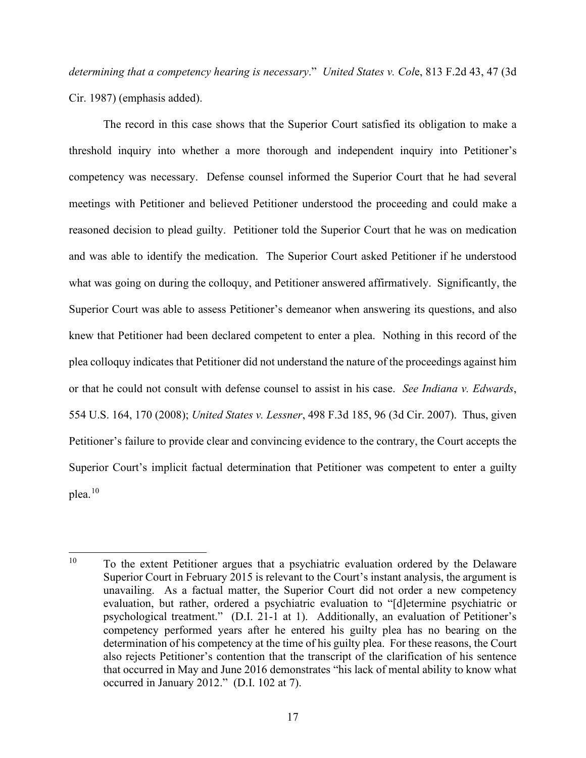*determining that a competency hearing is necessary*." *United States v. Col*e, 813 F.2d 43, 47 (3d Cir. 1987) (emphasis added).

The record in this case shows that the Superior Court satisfied its obligation to make a threshold inquiry into whether a more thorough and independent inquiry into Petitioner's competency was necessary. Defense counsel informed the Superior Court that he had several meetings with Petitioner and believed Petitioner understood the proceeding and could make a reasoned decision to plead guilty. Petitioner told the Superior Court that he was on medication and was able to identify the medication. The Superior Court asked Petitioner if he understood what was going on during the colloquy, and Petitioner answered affirmatively. Significantly, the Superior Court was able to assess Petitioner's demeanor when answering its questions, and also knew that Petitioner had been declared competent to enter a plea. Nothing in this record of the plea colloquy indicates that Petitioner did not understand the nature of the proceedings against him or that he could not consult with defense counsel to assist in his case. *See Indiana v. Edwards*, 554 U.S. 164, 170 (2008); *United States v. Lessner*, 498 F.3d 185, 96 (3d Cir. 2007). Thus, given Petitioner's failure to provide clear and convincing evidence to the contrary, the Court accepts the Superior Court's implicit factual determination that Petitioner was competent to enter a guilty plea.[10](#page-17-0)

<span id="page-17-0"></span> $10$  To the extent Petitioner argues that a psychiatric evaluation ordered by the Delaware Superior Court in February 2015 is relevant to the Court's instant analysis, the argument is unavailing. As a factual matter, the Superior Court did not order a new competency evaluation, but rather, ordered a psychiatric evaluation to "[d]etermine psychiatric or psychological treatment." (D.I. 21-1 at 1). Additionally, an evaluation of Petitioner's competency performed years after he entered his guilty plea has no bearing on the determination of his competency at the time of his guilty plea. For these reasons, the Court also rejects Petitioner's contention that the transcript of the clarification of his sentence that occurred in May and June 2016 demonstrates "his lack of mental ability to know what occurred in January 2012." (D.I. 102 at 7).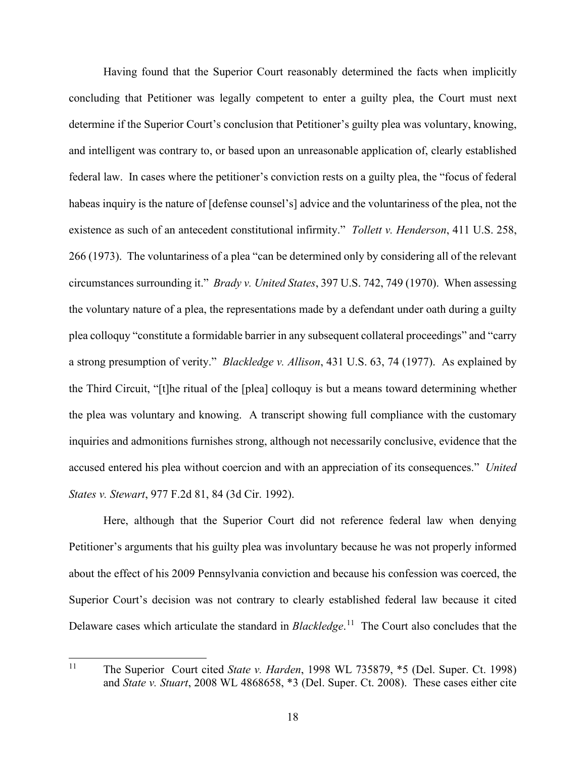Having found that the Superior Court reasonably determined the facts when implicitly concluding that Petitioner was legally competent to enter a guilty plea, the Court must next determine if the Superior Court's conclusion that Petitioner's guilty plea was voluntary, knowing, and intelligent was contrary to, or based upon an unreasonable application of, clearly established federal law. In cases where the petitioner's conviction rests on a guilty plea, the "focus of federal habeas inquiry is the nature of [defense counsel's] advice and the voluntariness of the plea, not the existence as such of an antecedent constitutional infirmity." *Tollett v. Henderson*, 411 U.S. 258, 266 (1973). The voluntariness of a plea "can be determined only by considering all of the relevant circumstances surrounding it." *Brady v. United States*, 397 U.S. 742, 749 (1970). When assessing the voluntary nature of a plea, the representations made by a defendant under oath during a guilty plea colloquy "constitute a formidable barrier in any subsequent collateral proceedings" and "carry a strong presumption of verity." *Blackledge v. Allison*, 431 U.S. 63, 74 (1977). As explained by the Third Circuit, "[t]he ritual of the [plea] colloquy is but a means toward determining whether the plea was voluntary and knowing. A transcript showing full compliance with the customary inquiries and admonitions furnishes strong, although not necessarily conclusive, evidence that the accused entered his plea without coercion and with an appreciation of its consequences." *United States v. Stewart*, 977 F.2d 81, 84 (3d Cir. 1992).

Here, although that the Superior Court did not reference federal law when denying Petitioner's arguments that his guilty plea was involuntary because he was not properly informed about the effect of his 2009 Pennsylvania conviction and because his confession was coerced, the Superior Court's decision was not contrary to clearly established federal law because it cited Delaware cases which articulate the standard in *Blackledge*. [11](#page-18-0) The Court also concludes that the

<span id="page-18-0"></span><sup>11</sup> The Superior Court cited *State v. Harden*, 1998 WL 735879, \*5 (Del. Super. Ct. 1998) and *State v. Stuart*, 2008 WL 4868658, \*3 (Del. Super. Ct. 2008). These cases either cite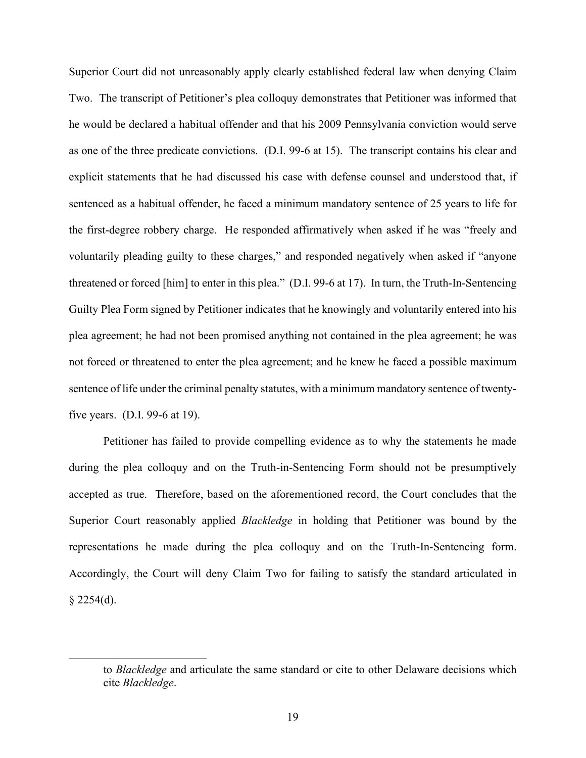Superior Court did not unreasonably apply clearly established federal law when denying Claim Two. The transcript of Petitioner's plea colloquy demonstrates that Petitioner was informed that he would be declared a habitual offender and that his 2009 Pennsylvania conviction would serve as one of the three predicate convictions. (D.I. 99-6 at 15). The transcript contains his clear and explicit statements that he had discussed his case with defense counsel and understood that, if sentenced as a habitual offender, he faced a minimum mandatory sentence of 25 years to life for the first-degree robbery charge. He responded affirmatively when asked if he was "freely and voluntarily pleading guilty to these charges," and responded negatively when asked if "anyone threatened or forced [him] to enter in this plea." (D.I. 99-6 at 17). In turn, the Truth-In-Sentencing Guilty Plea Form signed by Petitioner indicates that he knowingly and voluntarily entered into his plea agreement; he had not been promised anything not contained in the plea agreement; he was not forced or threatened to enter the plea agreement; and he knew he faced a possible maximum sentence of life under the criminal penalty statutes, with a minimum mandatory sentence of twentyfive years. (D.I. 99-6 at 19).

Petitioner has failed to provide compelling evidence as to why the statements he made during the plea colloquy and on the Truth-in-Sentencing Form should not be presumptively accepted as true. Therefore, based on the aforementioned record, the Court concludes that the Superior Court reasonably applied *Blackledge* in holding that Petitioner was bound by the representations he made during the plea colloquy and on the Truth-In-Sentencing form. Accordingly, the Court will deny Claim Two for failing to satisfy the standard articulated in  $§$  2254(d).

to *Blackledge* and articulate the same standard or cite to other Delaware decisions which cite *Blackledge*.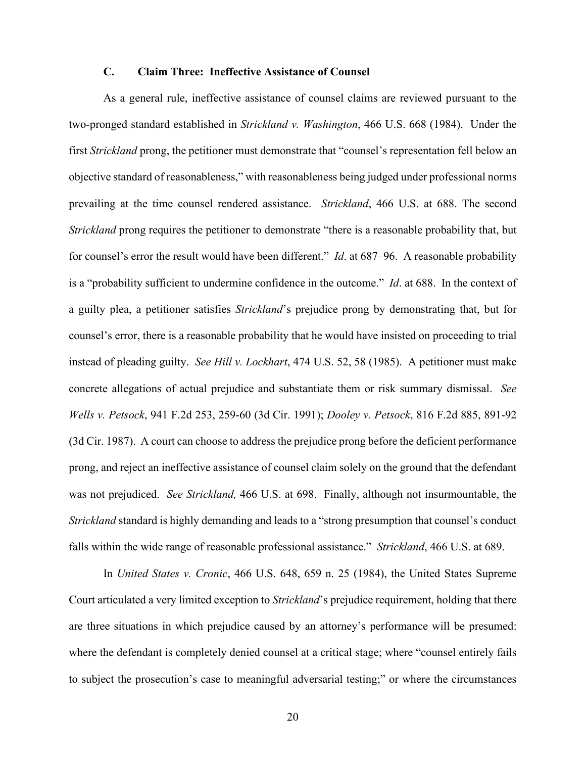### **C. Claim Three: Ineffective Assistance of Counsel**

As a general rule, ineffective assistance of counsel claims are reviewed pursuant to the two-pronged standard established in *Strickland v. Washington*, 466 U.S. 668 (1984). Under the first *Strickland* prong, the petitioner must demonstrate that "counsel's representation fell below an objective standard of reasonableness," with reasonableness being judged under professional norms prevailing at the time counsel rendered assistance. *Strickland*, 466 U.S. at 688. The second *Strickland* prong requires the petitioner to demonstrate "there is a reasonable probability that, but for counsel's error the result would have been different." *Id*. at 687–96. A reasonable probability is a "probability sufficient to undermine confidence in the outcome." *Id*. at 688. In the context of a guilty plea, a petitioner satisfies *Strickland*'s prejudice prong by demonstrating that, but for counsel's error, there is a reasonable probability that he would have insisted on proceeding to trial instead of pleading guilty. *See Hill v. Lockhart*, 474 U.S. 52, 58 (1985). A petitioner must make concrete allegations of actual prejudice and substantiate them or risk summary dismissal. *See Wells v. Petsock*, 941 F.2d 253, 259-60 (3d Cir. 1991); *Dooley v. Petsock*, 816 F.2d 885, 891-92 (3d Cir. 1987). A court can choose to address the prejudice prong before the deficient performance prong, and reject an ineffective assistance of counsel claim solely on the ground that the defendant was not prejudiced. *See Strickland,* 466 U.S. at 698. Finally, although not insurmountable, the *Strickland* standard is highly demanding and leads to a "strong presumption that counsel's conduct falls within the wide range of reasonable professional assistance." *Strickland*, 466 U.S. at 689.

In *United States v. Cronic*, 466 U.S. 648, 659 n. 25 (1984), the United States Supreme Court articulated a very limited exception to *Strickland*'s prejudice requirement, holding that there are three situations in which prejudice caused by an attorney's performance will be presumed: where the defendant is completely denied counsel at a critical stage; where "counsel entirely fails to subject the prosecution's case to meaningful adversarial testing;" or where the circumstances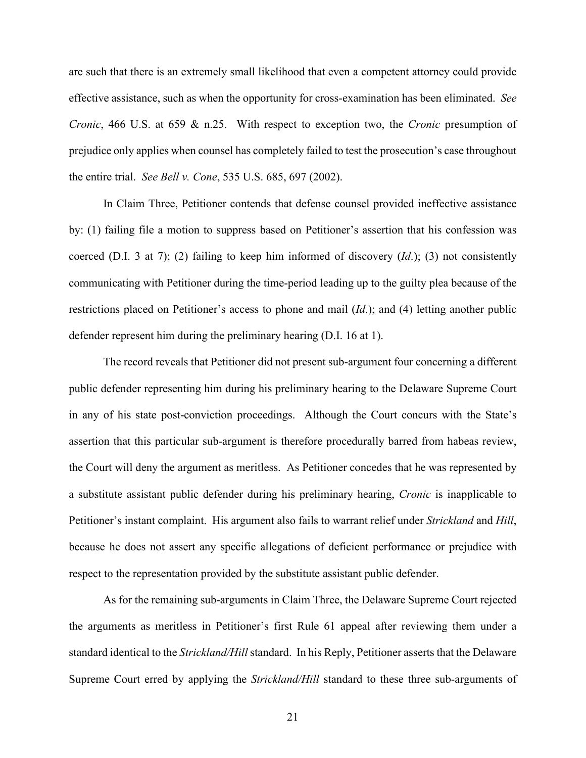are such that there is an extremely small likelihood that even a competent attorney could provide effective assistance, such as when the opportunity for cross-examination has been eliminated. *See Cronic*, 466 U.S. at 659 & n.25. With respect to exception two, the *Cronic* presumption of prejudice only applies when counsel has completely failed to test the prosecution's case throughout the entire trial. *See Bell v. Cone*, 535 U.S. 685, 697 (2002).

In Claim Three, Petitioner contends that defense counsel provided ineffective assistance by: (1) failing file a motion to suppress based on Petitioner's assertion that his confession was coerced (D.I. 3 at 7); (2) failing to keep him informed of discovery (*Id*.); (3) not consistently communicating with Petitioner during the time-period leading up to the guilty plea because of the restrictions placed on Petitioner's access to phone and mail (*Id*.); and (4) letting another public defender represent him during the preliminary hearing (D.I. 16 at 1).

The record reveals that Petitioner did not present sub-argument four concerning a different public defender representing him during his preliminary hearing to the Delaware Supreme Court in any of his state post-conviction proceedings. Although the Court concurs with the State's assertion that this particular sub-argument is therefore procedurally barred from habeas review, the Court will deny the argument as meritless. As Petitioner concedes that he was represented by a substitute assistant public defender during his preliminary hearing, *Cronic* is inapplicable to Petitioner's instant complaint. His argument also fails to warrant relief under *Strickland* and *Hill*, because he does not assert any specific allegations of deficient performance or prejudice with respect to the representation provided by the substitute assistant public defender.

As for the remaining sub-arguments in Claim Three, the Delaware Supreme Court rejected the arguments as meritless in Petitioner's first Rule 61 appeal after reviewing them under a standard identical to the *Strickland/Hill* standard. In his Reply, Petitioner asserts that the Delaware Supreme Court erred by applying the *Strickland/Hill* standard to these three sub-arguments of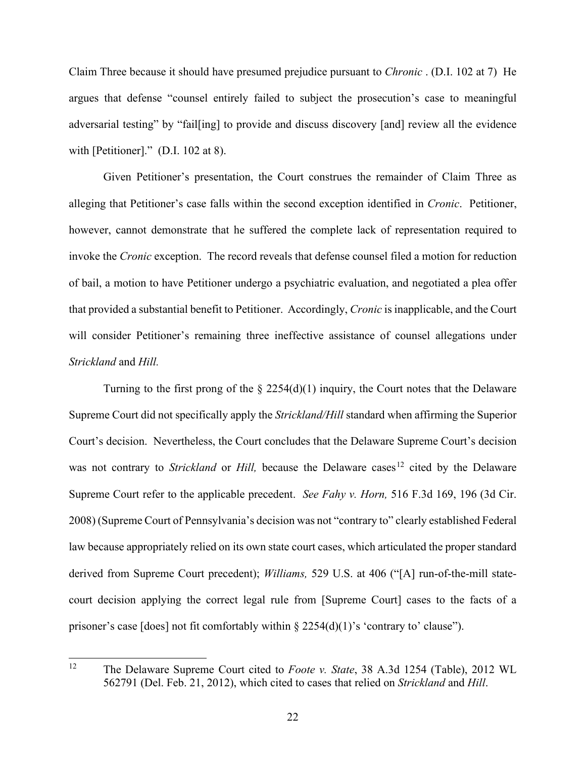Claim Three because it should have presumed prejudice pursuant to *Chronic* . (D.I. 102 at 7) He argues that defense "counsel entirely failed to subject the prosecution's case to meaningful adversarial testing" by "fail[ing] to provide and discuss discovery [and] review all the evidence with [Petitioner]." (D.I. 102 at 8).

Given Petitioner's presentation, the Court construes the remainder of Claim Three as alleging that Petitioner's case falls within the second exception identified in *Cronic*. Petitioner, however, cannot demonstrate that he suffered the complete lack of representation required to invoke the *Cronic* exception. The record reveals that defense counsel filed a motion for reduction of bail, a motion to have Petitioner undergo a psychiatric evaluation, and negotiated a plea offer that provided a substantial benefit to Petitioner. Accordingly, *Cronic* is inapplicable, and the Court will consider Petitioner's remaining three ineffective assistance of counsel allegations under *Strickland* and *Hill.*

Turning to the first prong of the  $\S 2254(d)(1)$  inquiry, the Court notes that the Delaware Supreme Court did not specifically apply the *Strickland/Hill* standard when affirming the Superior Court's decision. Nevertheless, the Court concludes that the Delaware Supreme Court's decision was not contrary to *Strickland* or *Hill*, because the Delaware cases<sup>[12](#page-22-0)</sup> cited by the Delaware Supreme Court refer to the applicable precedent. *See Fahy v. Horn,* 516 F.3d 169, 196 (3d Cir. 2008) (Supreme Court of Pennsylvania's decision was not "contrary to" clearly established Federal law because appropriately relied on its own state court cases, which articulated the proper standard derived from Supreme Court precedent); *Williams,* 529 U.S. at 406 ("[A] run-of-the-mill statecourt decision applying the correct legal rule from [Supreme Court] cases to the facts of a prisoner's case [does] not fit comfortably within  $\S 2254(d)(1)$ 's 'contrary to' clause'').

<span id="page-22-0"></span><sup>12</sup> The Delaware Supreme Court cited to *Foote v. State*, 38 A.3d 1254 (Table), 2012 WL 562791 (Del. Feb. 21, 2012), which cited to cases that relied on *Strickland* and *Hill*.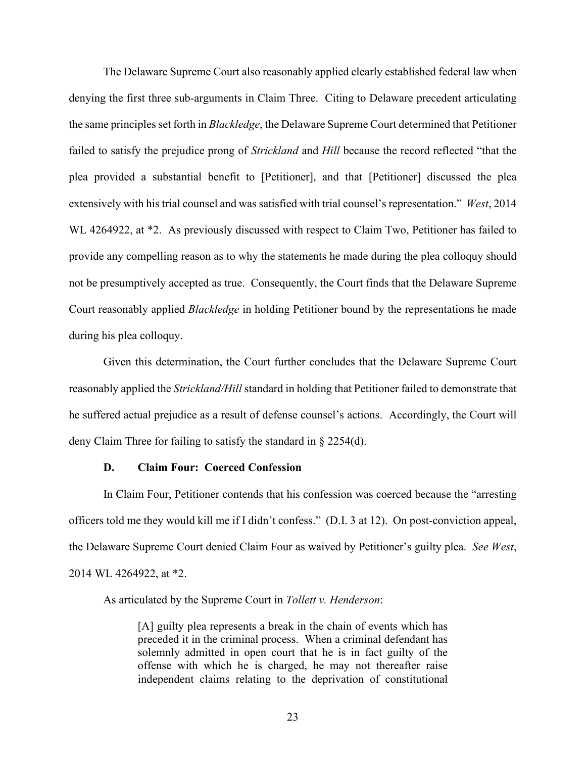The Delaware Supreme Court also reasonably applied clearly established federal law when denying the first three sub-arguments in Claim Three. Citing to Delaware precedent articulating the same principles set forth in *Blackledge*, the Delaware Supreme Court determined that Petitioner failed to satisfy the prejudice prong of *Strickland* and *Hill* because the record reflected "that the plea provided a substantial benefit to [Petitioner], and that [Petitioner] discussed the plea extensively with his trial counsel and was satisfied with trial counsel's representation." *West*, 2014 WL 4264922, at \*2. As previously discussed with respect to Claim Two, Petitioner has failed to provide any compelling reason as to why the statements he made during the plea colloquy should not be presumptively accepted as true. Consequently, the Court finds that the Delaware Supreme Court reasonably applied *Blackledge* in holding Petitioner bound by the representations he made during his plea colloquy.

Given this determination, the Court further concludes that the Delaware Supreme Court reasonably applied the *Strickland/Hill* standard in holding that Petitioner failed to demonstrate that he suffered actual prejudice as a result of defense counsel's actions. Accordingly, the Court will deny Claim Three for failing to satisfy the standard in § 2254(d).

#### **D. Claim Four: Coerced Confession**

In Claim Four, Petitioner contends that his confession was coerced because the "arresting officers told me they would kill me if I didn't confess." (D.I. 3 at 12). On post-conviction appeal, the Delaware Supreme Court denied Claim Four as waived by Petitioner's guilty plea. *See West*, 2014 WL 4264922, at \*2.

As articulated by the Supreme Court in *Tollett v. Henderson*:

[A] guilty plea represents a break in the chain of events which has preceded it in the criminal process. When a criminal defendant has solemnly admitted in open court that he is in fact guilty of the offense with which he is charged, he may not thereafter raise independent claims relating to the deprivation of constitutional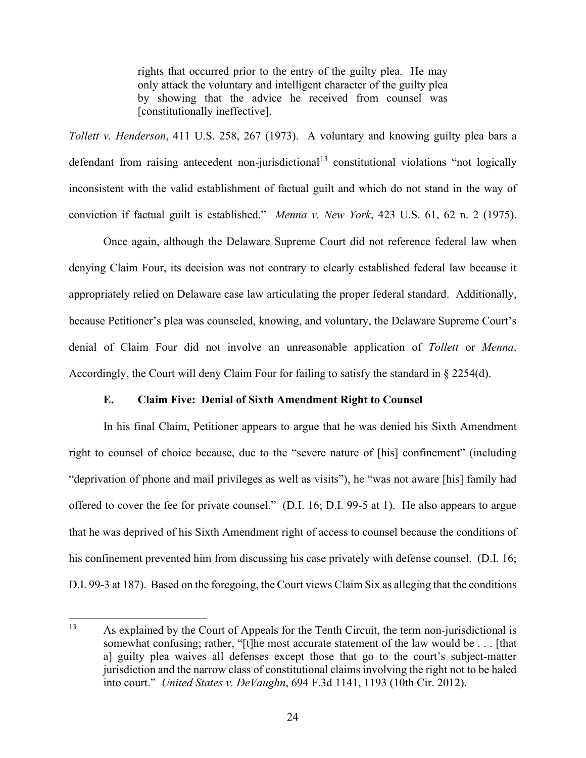rights that occurred prior to the entry of the guilty plea. He may only attack the voluntary and intelligent character of the guilty plea by showing that the advice he received from counsel was [constitutionally ineffective].

*Tollett v. Henderson*, 411 U.S. 258, 267 (1973). A voluntary and knowing guilty plea bars a defendant from raising antecedent non-jurisdictional<sup>[13](#page-24-0)</sup> constitutional violations "not logically inconsistent with the valid establishment of factual guilt and which do not stand in the way of conviction if factual guilt is established." *Menna v. New York*, 423 U.S. 61, 62 n. 2 (1975).

Once again, although the Delaware Supreme Court did not reference federal law when denying Claim Four, its decision was not contrary to clearly established federal law because it appropriately relied on Delaware case law articulating the proper federal standard. Additionally, because Petitioner's plea was counseled, knowing, and voluntary, the Delaware Supreme Court's denial of Claim Four did not involve an unreasonable application of *Tollett* or *Menna*. Accordingly, the Court will deny Claim Four for failing to satisfy the standard in § 2254(d).

# **E. Claim Five: Denial of Sixth Amendment Right to Counsel**

In his final Claim, Petitioner appears to argue that he was denied his Sixth Amendment right to counsel of choice because, due to the "severe nature of [his] confinement" (including "deprivation of phone and mail privileges as well as visits"), he "was not aware [his] family had offered to cover the fee for private counsel." (D.I. 16; D.I. 99-5 at 1). He also appears to argue that he was deprived of his Sixth Amendment right of access to counsel because the conditions of his confinement prevented him from discussing his case privately with defense counsel. (D.I. 16; D.I. 99-3 at 187). Based on the foregoing, the Court views Claim Six as alleging that the conditions

<span id="page-24-0"></span><sup>&</sup>lt;sup>13</sup> As explained by the Court of Appeals for the Tenth Circuit, the term non-jurisdictional is somewhat confusing; rather, "[t]he most accurate statement of the law would be . . . [that a] guilty plea waives all defenses except those that go to the court's subject-matter jurisdiction and the narrow class of constitutional claims involving the right not to be haled into court." *United States v. DeVaughn*, 694 F.3d 1141, 1193 (10th Cir. 2012).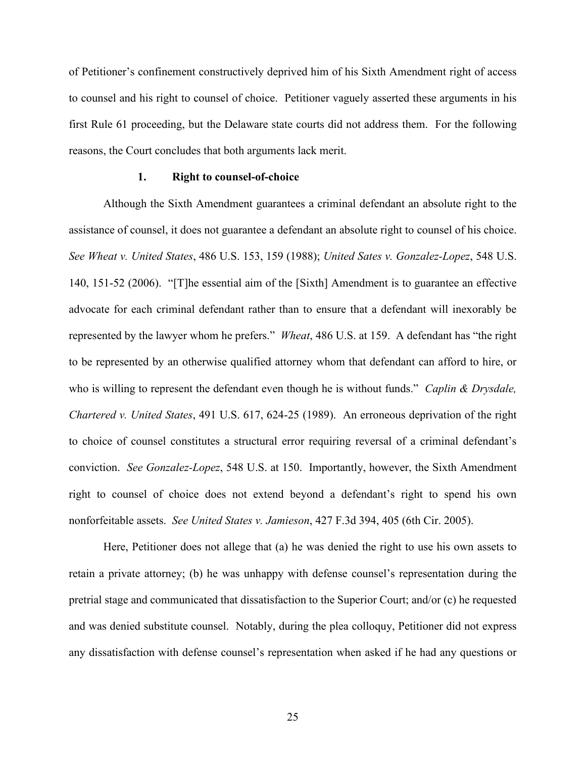of Petitioner's confinement constructively deprived him of his Sixth Amendment right of access to counsel and his right to counsel of choice. Petitioner vaguely asserted these arguments in his first Rule 61 proceeding, but the Delaware state courts did not address them. For the following reasons, the Court concludes that both arguments lack merit.

#### **1. Right to counsel-of-choice**

Although the Sixth Amendment guarantees a criminal defendant an absolute right to the assistance of counsel, it does not guarantee a defendant an absolute right to counsel of his choice. *See Wheat v. United States*, 486 U.S. 153, 159 (1988); *United Sates v. Gonzalez-Lopez*, 548 U.S. 140, 151-52 (2006). "[T]he essential aim of the [Sixth] Amendment is to guarantee an effective advocate for each criminal defendant rather than to ensure that a defendant will inexorably be represented by the lawyer whom he prefers." *Wheat*, 486 U.S. at 159. A defendant has "the right to be represented by an otherwise qualified attorney whom that defendant can afford to hire, or who is willing to represent the defendant even though he is without funds." *Caplin & Drysdale, Chartered v. United States*, 491 U.S. 617, 624-25 (1989). An erroneous deprivation of the right to choice of counsel constitutes a structural error requiring reversal of a criminal defendant's conviction. *See Gonzalez-Lopez*, 548 U.S. at 150. Importantly, however, the Sixth Amendment right to counsel of choice does not extend beyond a defendant's right to spend his own nonforfeitable assets. *See United States v. Jamieson*, 427 F.3d 394, 405 (6th Cir. 2005).

Here, Petitioner does not allege that (a) he was denied the right to use his own assets to retain a private attorney; (b) he was unhappy with defense counsel's representation during the pretrial stage and communicated that dissatisfaction to the Superior Court; and/or (c) he requested and was denied substitute counsel. Notably, during the plea colloquy, Petitioner did not express any dissatisfaction with defense counsel's representation when asked if he had any questions or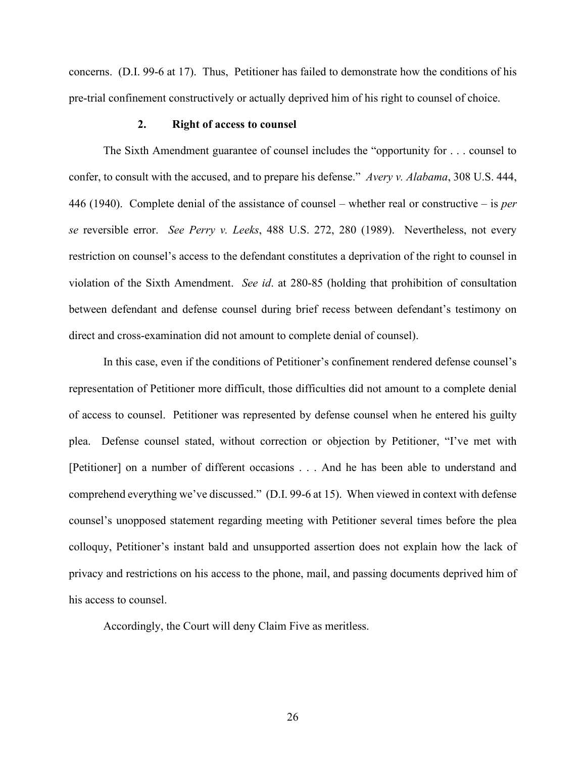concerns. (D.I. 99-6 at 17). Thus, Petitioner has failed to demonstrate how the conditions of his pre-trial confinement constructively or actually deprived him of his right to counsel of choice.

#### **2. Right of access to counsel**

The Sixth Amendment guarantee of counsel includes the "opportunity for . . . counsel to confer, to consult with the accused, and to prepare his defense." *Avery v. Alabama*, 308 U.S. 444, 446 (1940). Complete denial of the assistance of counsel – whether real or constructive – is *per se* reversible error. *See Perry v. Leeks*, 488 U.S. 272, 280 (1989). Nevertheless, not every restriction on counsel's access to the defendant constitutes a deprivation of the right to counsel in violation of the Sixth Amendment. *See id*. at 280-85 (holding that prohibition of consultation between defendant and defense counsel during brief recess between defendant's testimony on direct and cross-examination did not amount to complete denial of counsel).

In this case, even if the conditions of Petitioner's confinement rendered defense counsel's representation of Petitioner more difficult, those difficulties did not amount to a complete denial of access to counsel. Petitioner was represented by defense counsel when he entered his guilty plea. Defense counsel stated, without correction or objection by Petitioner, "I've met with [Petitioner] on a number of different occasions . . . And he has been able to understand and comprehend everything we've discussed." (D.I. 99-6 at 15). When viewed in context with defense counsel's unopposed statement regarding meeting with Petitioner several times before the plea colloquy, Petitioner's instant bald and unsupported assertion does not explain how the lack of privacy and restrictions on his access to the phone, mail, and passing documents deprived him of his access to counsel.

Accordingly, the Court will deny Claim Five as meritless.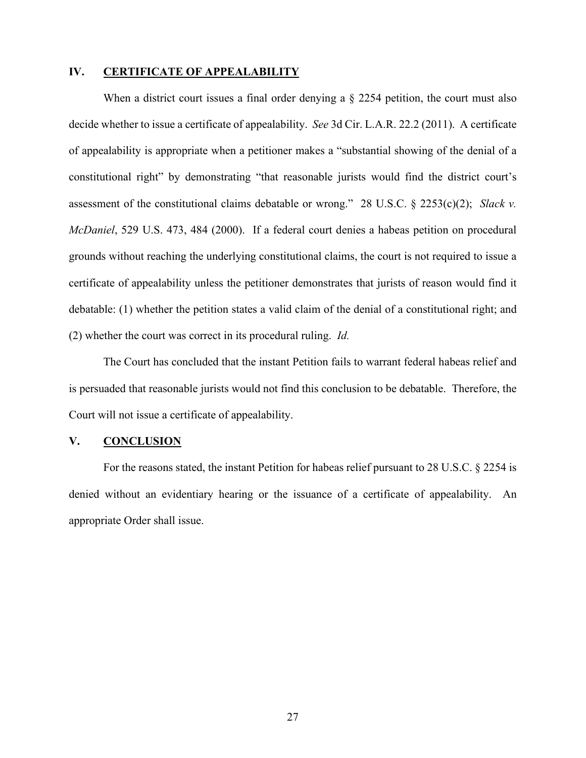#### **IV. CERTIFICATE OF APPEALABILITY**

When a district court issues a final order denying a  $\S$  2254 petition, the court must also decide whether to issue a certificate of appealability. *See* 3d Cir. L.A.R. 22.2 (2011). A certificate of appealability is appropriate when a petitioner makes a "substantial showing of the denial of a constitutional right" by demonstrating "that reasonable jurists would find the district court's assessment of the constitutional claims debatable or wrong."28 U.S.C. § 2253(c)(2); *Slack v. McDaniel*, 529 U.S. 473, 484 (2000). If a federal court denies a habeas petition on procedural grounds without reaching the underlying constitutional claims, the court is not required to issue a certificate of appealability unless the petitioner demonstrates that jurists of reason would find it debatable: (1) whether the petition states a valid claim of the denial of a constitutional right; and (2) whether the court was correct in its procedural ruling. *Id.* 

The Court has concluded that the instant Petition fails to warrant federal habeas relief and is persuaded that reasonable jurists would not find this conclusion to be debatable. Therefore, the Court will not issue a certificate of appealability.

#### **V. CONCLUSION**

For the reasons stated, the instant Petition for habeas relief pursuant to 28 U.S.C. § 2254 is denied without an evidentiary hearing or the issuance of a certificate of appealability. An appropriate Order shall issue.